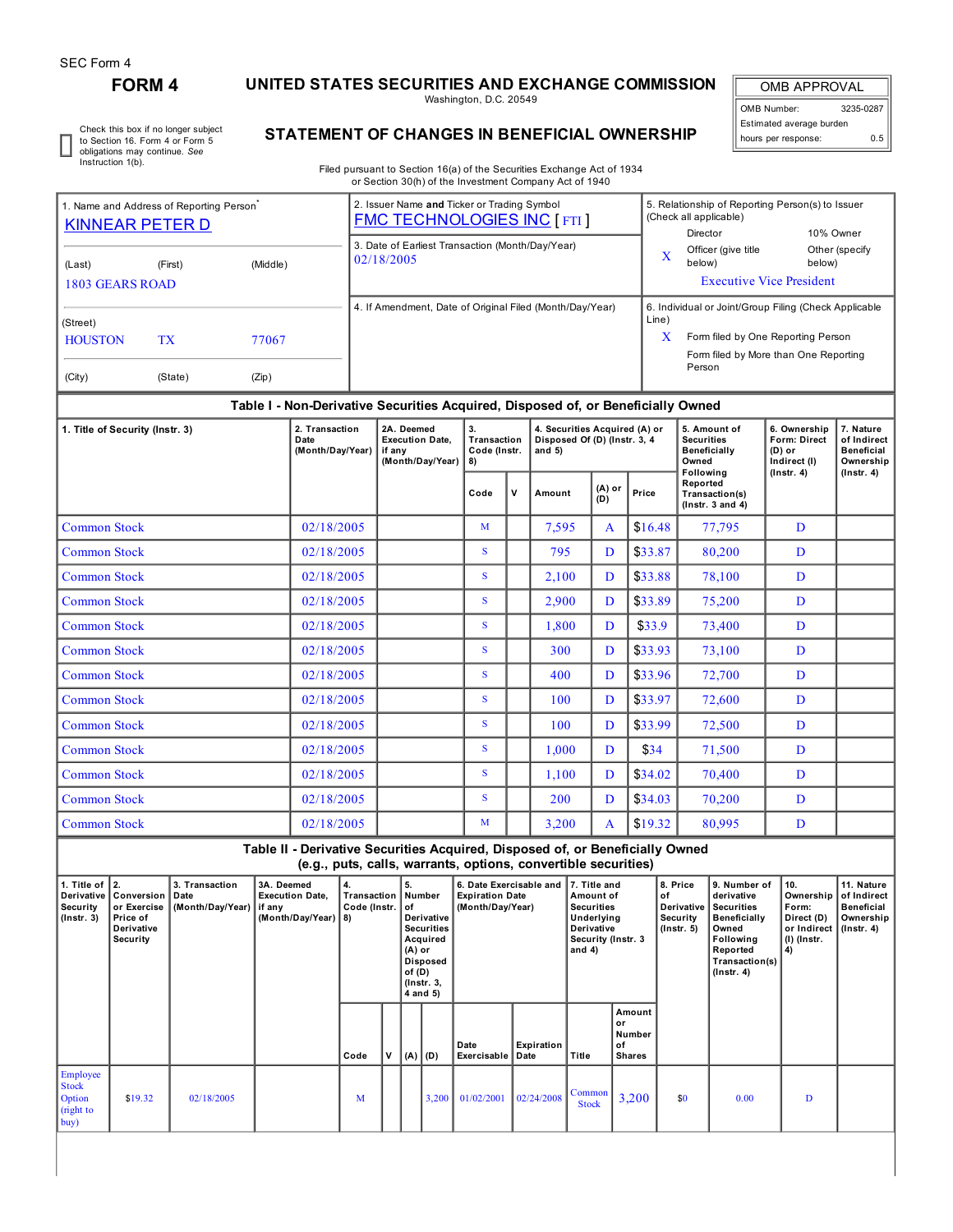## **FORM 4 UNITED STATES SECURITIES AND EXCHANGE COMMISSION**

Washington, D.C. 20549

OMB APPROVAL OMB Number: 3235-0287 Estimated average burden hours per response: 0.5

Check this box if no longer subject to Section 16. Form 4 or Form 5 obligations may continue. *See* Instruction 1(b).

## **STATEMENT OF CHANGES IN BENEFICIAL OWNERSHIP**

Filed pursuant to Section 16(a) of the Securities Exchange Act of 1934 or Section 30(h) of the Investment Company Act of 1940

| 1. Name and Address of Reporting Person<br><b>KINNEAR PETER D</b>       | 2. Issuer Name and Ticker or Trading Symbol<br><b>FMC TECHNOLOGIES INC [FTI]</b> | 5. Relationship of Reporting Person(s) to Issuer<br>(Check all applicable)<br>10% Owner<br>Director                                                          |
|-------------------------------------------------------------------------|----------------------------------------------------------------------------------|--------------------------------------------------------------------------------------------------------------------------------------------------------------|
| (Middle)<br>(First)<br>(Last)<br>1803 GEARS ROAD                        | 3. Date of Earliest Transaction (Month/Day/Year)<br>02/18/2005                   | Officer (give title<br>Other (specify<br>$\mathbf v$<br>л<br>below)<br>below)<br><b>Executive Vice President</b>                                             |
| (Street)<br><b>HOUSTON</b><br>TX<br>77067<br>(City)<br>(Zip)<br>(State) | 4. If Amendment, Date of Original Filed (Month/Day/Year)                         | 6. Individual or Joint/Group Filing (Check Applicable<br>Line)<br>x<br>Form filed by One Reporting Person<br>Form filed by More than One Reporting<br>Person |

## **Table I - Non-Derivative Securities Acquired, Disposed of, or Beneficially Owned**

| 1. Title of Security (Instr. 3) | 2. Transaction<br>Date<br>(Month/Day/Year) | 2A. Deemed<br><b>Execution Date.</b><br>if any<br>(Month/Day/Year) | 3.<br>Transaction<br>Code (Instr.<br>8) |   | 4. Securities Acquired (A) or<br>Disposed Of (D) (Instr. 3, 4<br>and $5)$ |                 |         | 5. Amount of<br><b>Securities</b><br><b>Beneficially</b><br>Owned  | 6. Ownership<br><b>Form: Direct</b><br>$(D)$ or<br>Indirect (I)<br>$($ lnstr. 4 $)$ | 7. Nature<br>of Indirect<br><b>Beneficial</b><br>Ownership<br>$($ Instr. 4 $)$ |
|---------------------------------|--------------------------------------------|--------------------------------------------------------------------|-----------------------------------------|---|---------------------------------------------------------------------------|-----------------|---------|--------------------------------------------------------------------|-------------------------------------------------------------------------------------|--------------------------------------------------------------------------------|
|                                 |                                            |                                                                    | Code                                    | v | Amount                                                                    | $(A)$ or<br>(D) | Price   | Following<br>Reported<br>Transaction(s)<br>$($ lnstr. $3$ and $4)$ |                                                                                     |                                                                                |
| <b>Common Stock</b>             | 02/18/2005                                 |                                                                    | M                                       |   | 7,595                                                                     | A               | \$16.48 | 77,795                                                             | D                                                                                   |                                                                                |
| <b>Common Stock</b>             | 02/18/2005                                 |                                                                    | S.                                      |   | 795                                                                       | D               | \$33.87 | 80,200                                                             | D                                                                                   |                                                                                |
| <b>Common Stock</b>             | 02/18/2005                                 |                                                                    | S.                                      |   | 2,100                                                                     | D               | \$33.88 | 78,100                                                             | D                                                                                   |                                                                                |
| <b>Common Stock</b>             | 02/18/2005                                 |                                                                    | S.                                      |   | 2,900                                                                     | D               | \$33.89 | 75,200                                                             | D                                                                                   |                                                                                |
| <b>Common Stock</b>             | 02/18/2005                                 |                                                                    | S                                       |   | 1,800                                                                     | D               | \$33.9  | 73,400                                                             | D                                                                                   |                                                                                |
| <b>Common Stock</b>             | 02/18/2005                                 |                                                                    | S.                                      |   | 300                                                                       | D               | \$33.93 | 73,100                                                             | D                                                                                   |                                                                                |
| <b>Common Stock</b>             | 02/18/2005                                 |                                                                    | S                                       |   | 400                                                                       | D               | \$33.96 | 72,700                                                             | D                                                                                   |                                                                                |
| <b>Common Stock</b>             | 02/18/2005                                 |                                                                    | S.                                      |   | 100                                                                       | D               | \$33.97 | 72,600                                                             | D                                                                                   |                                                                                |
| <b>Common Stock</b>             | 02/18/2005                                 |                                                                    | S.                                      |   | 100                                                                       | D               | \$33.99 | 72,500                                                             | D                                                                                   |                                                                                |
| <b>Common Stock</b>             | 02/18/2005                                 |                                                                    | S                                       |   | 1,000                                                                     | D               | \$34    | 71,500                                                             | D                                                                                   |                                                                                |
| <b>Common Stock</b>             | 02/18/2005                                 |                                                                    | S.                                      |   | 1,100                                                                     | D               | \$34.02 | 70,400                                                             | D                                                                                   |                                                                                |
| <b>Common Stock</b>             | 02/18/2005                                 |                                                                    | S.                                      |   | 200                                                                       | D               | \$34.03 | 70,200                                                             | D                                                                                   |                                                                                |
| <b>Common Stock</b>             | 02/18/2005                                 |                                                                    | M                                       |   | 3,200                                                                     | $\mathbf{A}$    | \$19.32 | 80,995                                                             | D                                                                                   |                                                                                |

**Table II - Derivative Securities Acquired, Disposed of, or Beneficially Owned (e.g., puts, calls, warrants, options, convertible securities)**

| 1. Title of $ 2$ .<br><b>Security</b><br>$($ Instr. 3 $)$ | Derivative   Conversion  <br>or Exercise<br>Price of<br>Derivative<br><b>Security</b> | 3. Transaction<br>Date<br>(Month/Day/Year)   if any | 3A. Deemed<br><b>Execution Date.</b><br>(Month/Day/Year) 8) | 4.<br>Code (Instr. |   | 5.<br>Transaction   Number<br>l of<br>Derivative<br><b>Securities</b><br>Acquired<br>$(A)$ or<br><b>Disposed</b><br>of $(D)$<br>(Instr. 3,<br>4 and 5) |          | 6. Date Exercisable and<br><b>Expiration Date</b><br>(Month/Day/Year) |            | 7. Title and<br>Amount of<br><b>Securities</b><br>Underlying<br>Derivative<br>Security (Instr. 3<br>and $4$ ) |                                          | 8. Price<br>l of<br>Derivative<br>Security<br>$($ lnstr. 5 $)$ | 9. Number of<br>derivative<br>Securities<br>Beneficially<br>Owned<br><b>Following</b><br>Reported<br>Transaction(s)<br>$($ lnstr. 4 $)$ | 10.<br>Ownership<br>Form:<br>Direct (D)<br>or Indirect<br>(I) (Instr.<br>  4) | 11. Nature<br>of Indirect<br>Beneficial<br>Ownership<br>  (Instr. 4) |
|-----------------------------------------------------------|---------------------------------------------------------------------------------------|-----------------------------------------------------|-------------------------------------------------------------|--------------------|---|--------------------------------------------------------------------------------------------------------------------------------------------------------|----------|-----------------------------------------------------------------------|------------|---------------------------------------------------------------------------------------------------------------|------------------------------------------|----------------------------------------------------------------|-----------------------------------------------------------------------------------------------------------------------------------------|-------------------------------------------------------------------------------|----------------------------------------------------------------------|
|                                                           |                                                                                       |                                                     |                                                             | Code               | v |                                                                                                                                                        | (A)  (D) | Date<br>Exercisable   Date                                            | Expiration | Title                                                                                                         | Amount<br>l or<br>Number<br>of<br>Shares |                                                                |                                                                                                                                         |                                                                               |                                                                      |
| Employee<br><b>Stock</b><br>Option<br>(right to<br>buy)   | \$19.32                                                                               | 02/18/2005                                          |                                                             | M                  |   |                                                                                                                                                        | 3,200    | 01/02/2001                                                            | 02/24/2008 | Common<br><b>Stock</b>                                                                                        | 3,200                                    | \$0                                                            | 0.00                                                                                                                                    | D                                                                             |                                                                      |